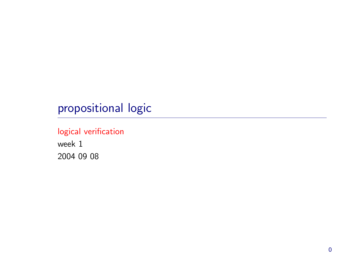# propositional logic

### logical verification

week 1 2004 09 08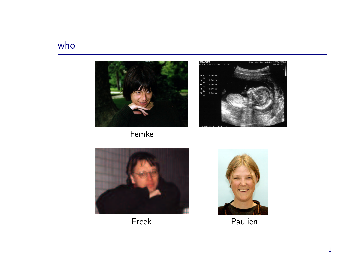# who



Femke





Freek



Paulien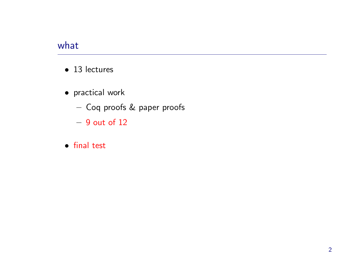### what

- 13 lectures
- practical work
	- $-$  Coq proofs  $\&$  paper proofs
	- $-$  9 out of  $12\,$
- final test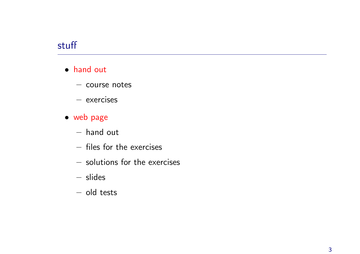### stuff

- hand out
	- $-$  course notes
	- exercises
- web page
	- hand out
	- files for the exercises
	- solutions for the exercises
	- slides
	- old tests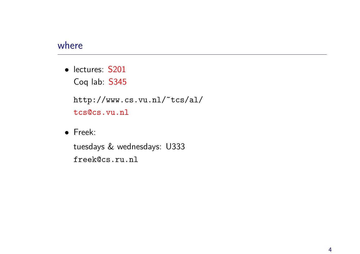### where

• lectures: S201 Coq lab: S345

http://www.cs.vu.nl/~tcs/al/ tcs@cs.vu.nl

• Freek:

tuesdays & wednesdays: U333 freek@cs.ru.nl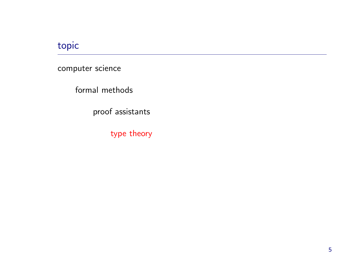# topic

computer science

formal methods

proof assistants

type theory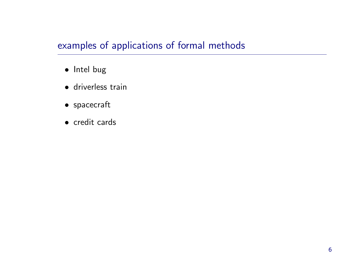# examples of applications of formal methods

- Intel bug
- driverless train
- spacecraft
- credit cards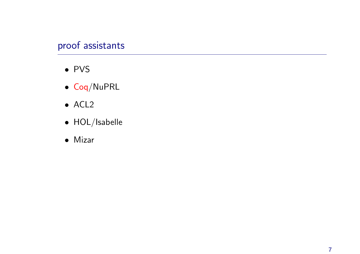# proof assistants

- PVS
- Co q/NuPRL
- ACL2
- HOL/Isabelle
- Mizar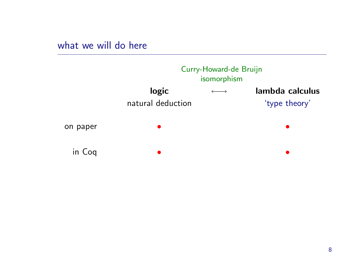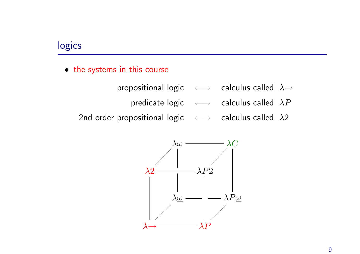### logics

- the systems in this course
	- propositional logic  $\longleftrightarrow$  calculus called  $\lambda \rightarrow$ 
		- predicate logic  $\longleftrightarrow$  calculus called  $\lambda P$
	- 2nd order propositional logic  $\longleftrightarrow$  calculus called  $\lambda 2$

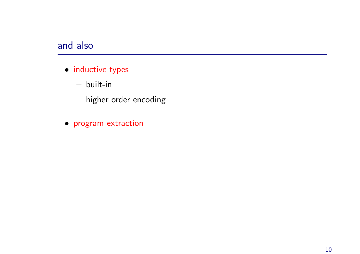### and also

- inductive types
	- built-in
	- $-$  higher order encoding
- program extraction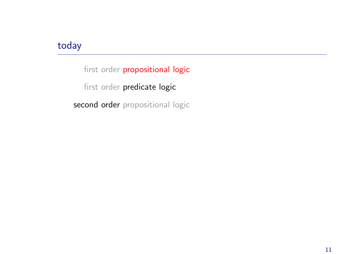### today

first order propositional logic first order predicate logic second order propositional logic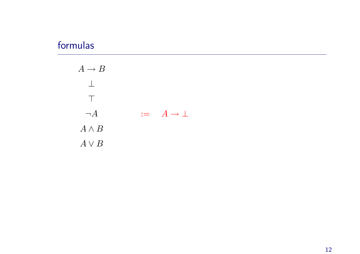### formulas

| $A \rightarrow B$ |                               |
|-------------------|-------------------------------|
| $\mathbb{R}^n$    |                               |
| $\mathbf{1}$      |                               |
| $\neg A$          | $:= \quad A \rightarrow \bot$ |
| $A \wedge B$      |                               |
| $A \vee B$        |                               |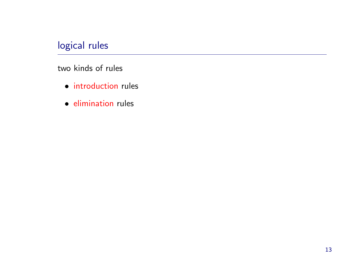# logical rules

two kinds of rules

- introduction rules
- elimination rules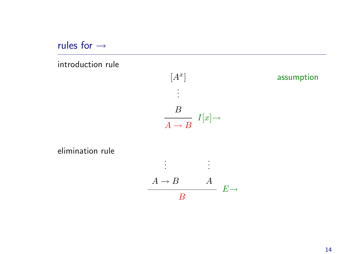rules for <sup>→</sup>

#### introduction rule



elimination rule

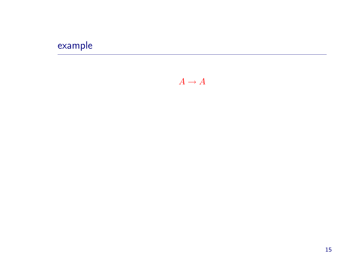# example

 $A \rightarrow A$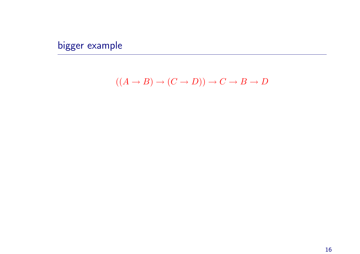bigger example

$$
((A \to B) \to (C \to D)) \to C \to B \to D
$$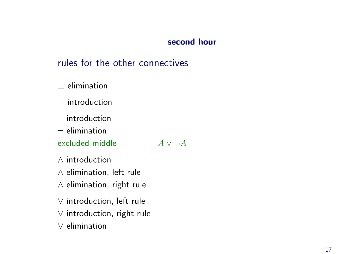#### second hour

### rules for the other connectives

⊥ elimination

 $\top$  introduction

 $\neg$  introduction

 $\neg$  elimination

excluded middle  $A \vee \neg A$ 

∧ introduction

∧ elimination, left rule

<sup>∧</sup> elimination, right rule

∨ introduction, left rule

<sup>∨</sup> introduction, right rule

∨ elimination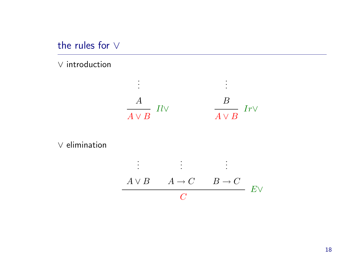the rules for ∨

∨ introduction



∨ elimination

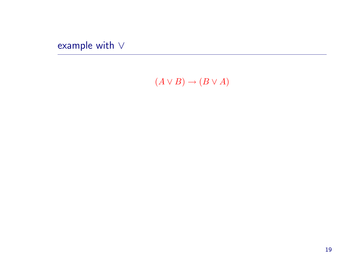example with  $\vee$ 

 $(A \vee B) \rightarrow (B \vee A)$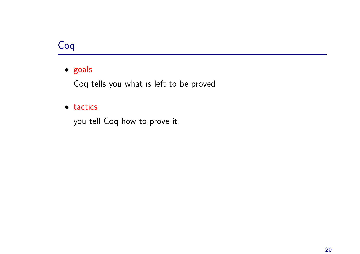# Coq

#### • goals

Coq tells you what is left to be proved

#### • tactics

you tell Coq how to prove it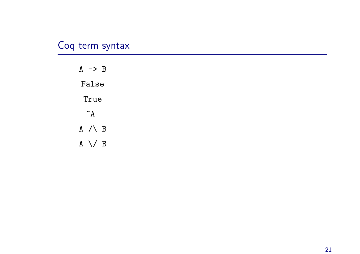# Coq term syntax

 $A \rightarrow B$ False True  $~\tilde{}$  A A  $\wedge$  B  $A \setminus B$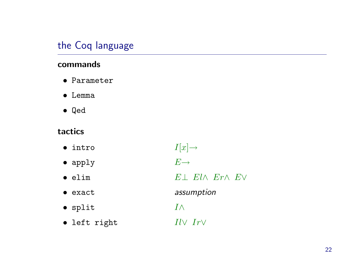# the Coq language

#### commands

- Parameter
- $\bullet$  Lemma
- $\bullet$  Qed

### tactics

- $I[x] \rightarrow$  $\bullet$  intro
- $E \rightarrow$  $\bullet$  apply
- $E \perp$   $El \wedge$   $Er \wedge$   $EV$  $\bullet$  elim
	- assumption
	- $I \wedge$

· left right

 $\bullet$  exact

· split

 $Il\vee\ Ir\vee$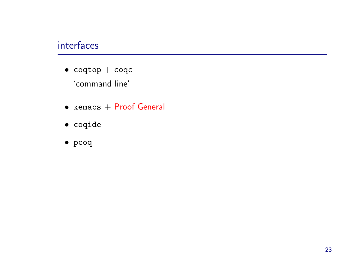### interfaces

- $\bullet$  coqtop  $+$  coqc 'command line'
- $\bullet$  xemacs  $+$  Proof General
- coqide
- pcoq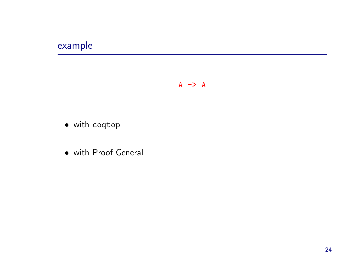# example

#### $A \rightarrow A$

- · with coqtop
- · with Proof General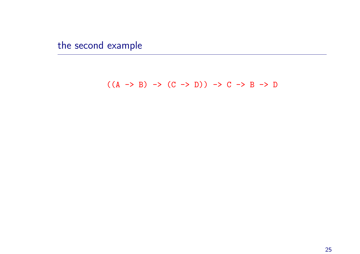the second example

### $((A \rightarrow B) \rightarrow (C \rightarrow D)) \rightarrow C \rightarrow B \rightarrow D$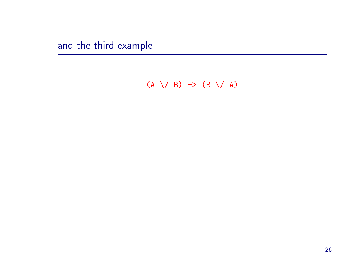and the third example

 $(A \setminus B) \rightarrow (B \setminus A)$